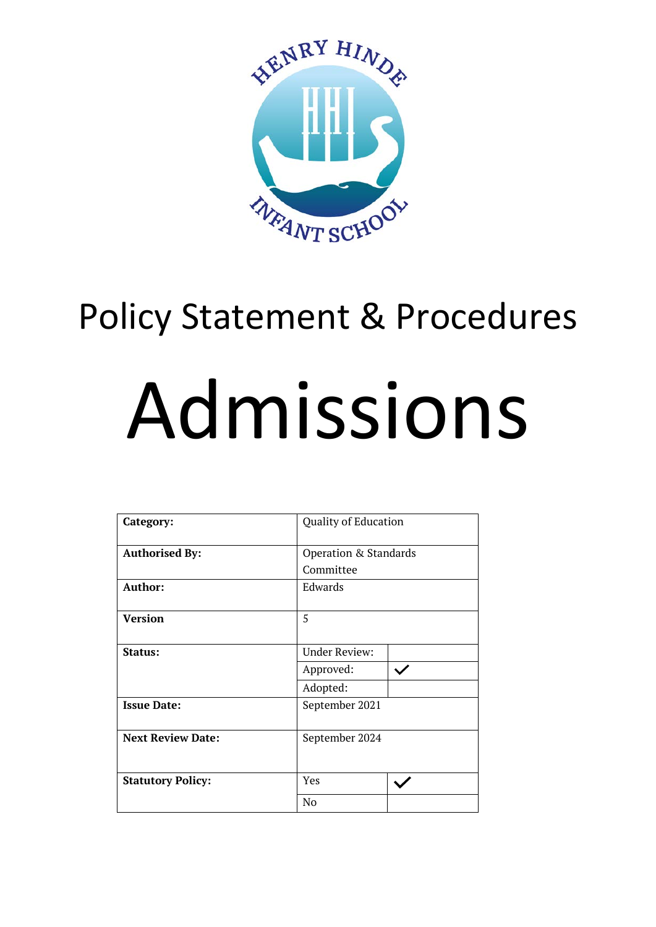

# Policy Statement & Procedures Admissions

| Category:                | <b>Quality of Education</b>        |  |  |
|--------------------------|------------------------------------|--|--|
| <b>Authorised By:</b>    | Operation & Standards<br>Committee |  |  |
|                          |                                    |  |  |
| Author:                  | Edwards                            |  |  |
| <b>Version</b>           | 5                                  |  |  |
| Status:                  | <b>Under Review:</b>               |  |  |
|                          | Approved:                          |  |  |
|                          | Adopted:                           |  |  |
| <b>Issue Date:</b>       | September 2021                     |  |  |
| <b>Next Review Date:</b> | September 2024                     |  |  |
| <b>Statutory Policy:</b> | Yes                                |  |  |
|                          | No                                 |  |  |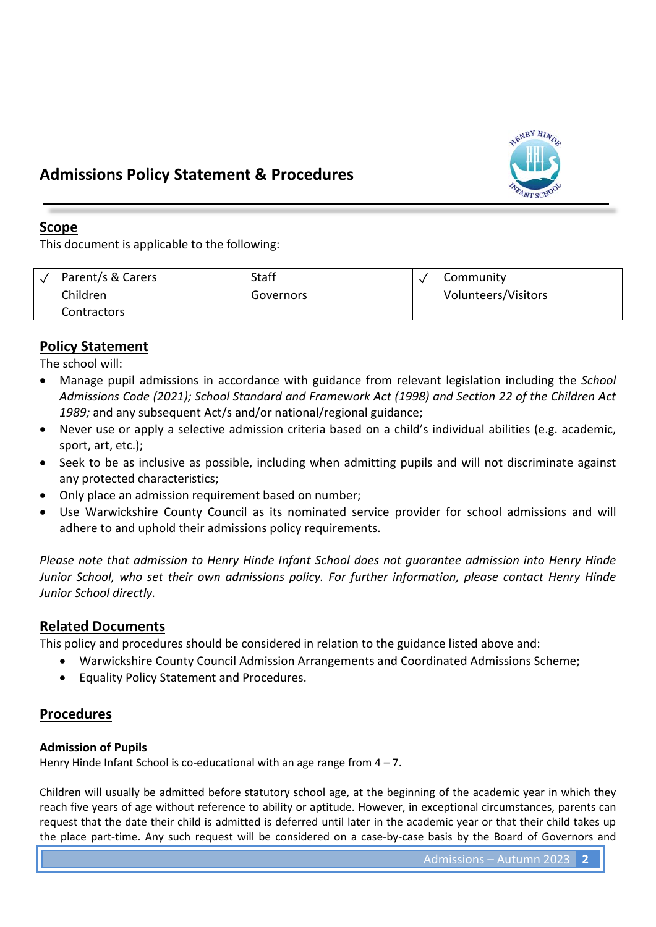

# **Admissions Policy Statement & Procedures**

# **Scope**

This document is applicable to the following:

| Parent/s & Carers  | Staff     | Community           |
|--------------------|-----------|---------------------|
| Children           | Governors | Volunteers/Visitors |
| <b>Contractors</b> |           |                     |

# **Policy Statement**

The school will:

- Manage pupil admissions in accordance with guidance from relevant legislation including the *School Admissions Code (2021); School Standard and Framework Act (1998) and Section 22 of the Children Act*  1989; and any subsequent Act/s and/or national/regional guidance;
- Never use or apply a selective admission criteria based on a child's individual abilities (e.g. academic, sport, art, etc.);
- Seek to be as inclusive as possible, including when admitting pupils and will not discriminate against any protected characteristics;
- Only place an admission requirement based on number;
- Use Warwickshire County Council as its nominated service provider for school admissions and will adhere to and uphold their admissions policy requirements.

*Please note that admission to Henry Hinde Infant School does not guarantee admission into Henry Hinde Junior School, who set their own admissions policy. For further information, please contact Henry Hinde Junior School directly.*

# **Related Documents**

This policy and procedures should be considered in relation to the guidance listed above and:

- Warwickshire County Council Admission Arrangements and Coordinated Admissions Scheme;
- Equality Policy Statement and Procedures.

# **Procedures**

# **Admission of Pupils**

Henry Hinde Infant School is co-educational with an age range from  $4 - 7$ .

Children will usually be admitted before statutory school age, at the beginning of the academic year in which they reach five years of age without reference to ability or aptitude. However, in exceptional circumstances, parents can request that the date their child is admitted is deferred until later in the academic year or that their child takes up the place part-time. Any such request will be considered on a case-by-case basis by the Board of Governors and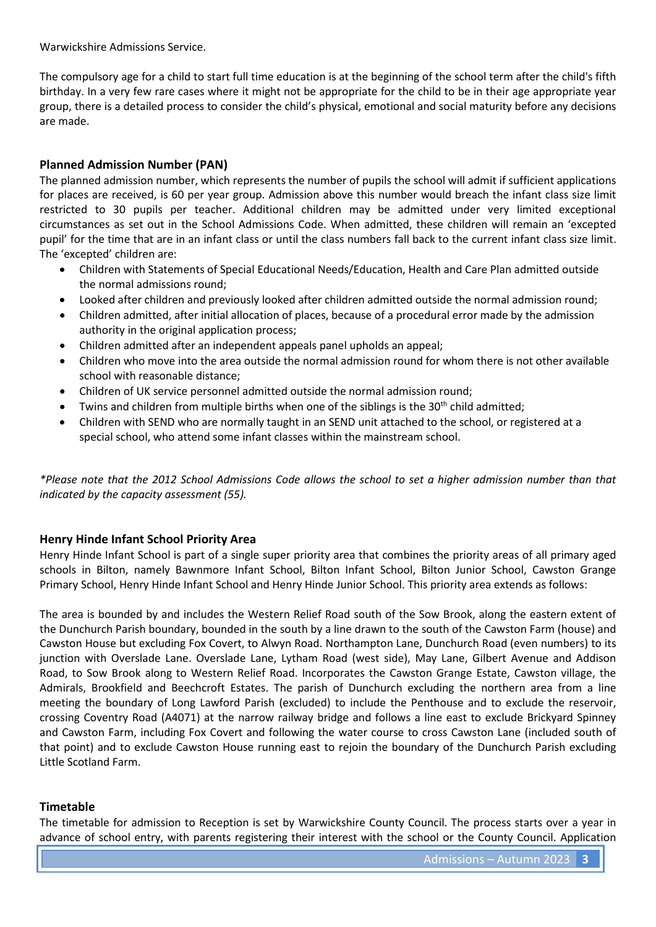Warwickshire Admissions Service.

The compulsory age for a child to start full time education is at the beginning of the school term after the child's fifth birthday. In a very few rare cases where it might not be appropriate for the child to be in their age appropriate year group, there is a detailed process to consider the child's physical, emotional and social maturity before any decisions are made.

### **Planned Admission Number (PAN)**

The planned admission number, which represents the number of pupils the school will admit if sufficient applications for places are received, is 60 per year group. Admission above this number would breach the infant class size limit restricted to 30 pupils per teacher. Additional children may be admitted under very limited exceptional circumstances as set out in the School Admissions Code. When admitted, these children will remain an 'excepted pupil' for the time that are in an infant class or until the class numbers fall back to the current infant class size limit. The 'excepted' children are:

- Children with Statements of Special Educational Needs/Education, Health and Care Plan admitted outside the normal admissions round;
- Looked after children and previously looked after children admitted outside the normal admission round;
- Children admitted, after initial allocation of places, because of a procedural error made by the admission authority in the original application process;
- Children admitted after an independent appeals panel upholds an appeal;
- Children who move into the area outside the normal admission round for whom there is not other available school with reasonable distance;
- Children of UK service personnel admitted outside the normal admission round;
- Twins and children from multiple births when one of the siblings is the 30<sup>th</sup> child admitted;
- Children with SEND who are normally taught in an SEND unit attached to the school, or registered at a special school, who attend some infant classes within the mainstream school.

*\*Please note that the 2012 School Admissions Code allows the school to set a higher admission number than that indicated by the capacity assessment (55).*

### **Henry Hinde Infant School Priority Area**

Henry Hinde Infant School is part of a single super priority area that combines the priority areas of all primary aged schools in Bilton, namely Bawnmore Infant School, Bilton Infant School, Bilton Junior School, Cawston Grange Primary School, Henry Hinde Infant School and Henry Hinde Junior School. This priority area extends as follows:

The area is bounded by and includes the Western Relief Road south of the Sow Brook, along the eastern extent of the Dunchurch Parish boundary, bounded in the south by a line drawn to the south of the Cawston Farm (house) and Cawston House but excluding Fox Covert, to Alwyn Road. Northampton Lane, Dunchurch Road (even numbers) to its junction with Overslade Lane. Overslade Lane, Lytham Road (west side), May Lane, Gilbert Avenue and Addison Road, to Sow Brook along to Western Relief Road. Incorporates the Cawston Grange Estate, Cawston village, the Admirals, Brookfield and Beechcroft Estates. The parish of Dunchurch excluding the northern area from a line meeting the boundary of Long Lawford Parish (excluded) to include the Penthouse and to exclude the reservoir, crossing Coventry Road (A4071) at the narrow railway bridge and follows a line east to exclude Brickyard Spinney and Cawston Farm, including Fox Covert and following the water course to cross Cawston Lane (included south of that point) and to exclude Cawston House running east to rejoin the boundary of the Dunchurch Parish excluding Little Scotland Farm.

### **Timetable**

The timetable for admission to Reception is set by Warwickshire County Council. The process starts over a year in advance of school entry, with parents registering their interest with the school or the County Council. Application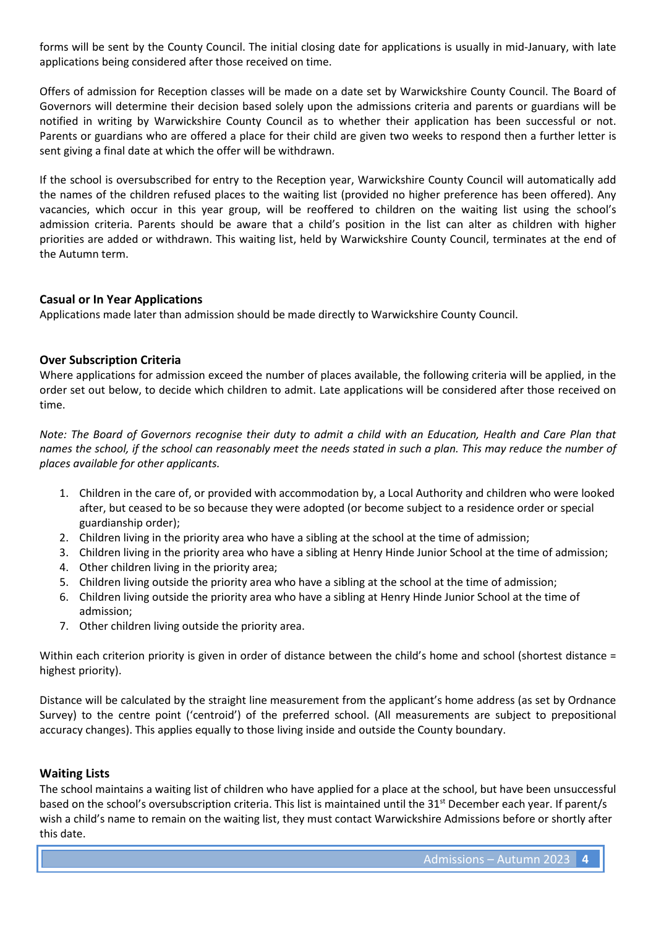forms will be sent by the County Council. The initial closing date for applications is usually in mid-January, with late applications being considered after those received on time.

Offers of admission for Reception classes will be made on a date set by Warwickshire County Council. The Board of Governors will determine their decision based solely upon the admissions criteria and parents or guardians will be notified in writing by Warwickshire County Council as to whether their application has been successful or not. Parents or guardians who are offered a place for their child are given two weeks to respond then a further letter is sent giving a final date at which the offer will be withdrawn.

If the school is oversubscribed for entry to the Reception year, Warwickshire County Council will automatically add the names of the children refused places to the waiting list (provided no higher preference has been offered). Any vacancies, which occur in this year group, will be reoffered to children on the waiting list using the school's admission criteria. Parents should be aware that a child's position in the list can alter as children with higher priorities are added or withdrawn. This waiting list, held by Warwickshire County Council, terminates at the end of the Autumn term.

### **Casual or In Year Applications**

Applications made later than admission should be made directly to Warwickshire County Council.

### **Over Subscription Criteria**

Where applications for admission exceed the number of places available, the following criteria will be applied, in the order set out below, to decide which children to admit. Late applications will be considered after those received on time.

*Note: The Board of Governors recognise their duty to admit a child with an Education, Health and Care Plan that names the school, if the school can reasonably meet the needs stated in such a plan. This may reduce the number of places available for other applicants.*

- 1. Children in the care of, or provided with accommodation by, a Local Authority and children who were looked after, but ceased to be so because they were adopted (or become subject to a residence order or special guardianship order);
- 2. Children living in the priority area who have a sibling at the school at the time of admission;
- 3. Children living in the priority area who have a sibling at Henry Hinde Junior School at the time of admission;
- 4. Other children living in the priority area;
- 5. Children living outside the priority area who have a sibling at the school at the time of admission;
- 6. Children living outside the priority area who have a sibling at Henry Hinde Junior School at the time of admission;
- 7. Other children living outside the priority area.

Within each criterion priority is given in order of distance between the child's home and school (shortest distance = highest priority).

Distance will be calculated by the straight line measurement from the applicant's home address (as set by Ordnance Survey) to the centre point ('centroid') of the preferred school. (All measurements are subject to prepositional accuracy changes). This applies equally to those living inside and outside the County boundary.

### **Waiting Lists**

The school maintains a waiting list of children who have applied for a place at the school, but have been unsuccessful based on the school's oversubscription criteria. This list is maintained until the 31<sup>st</sup> December each year. If parent/s wish a child's name to remain on the waiting list, they must contact Warwickshire Admissions before or shortly after this date.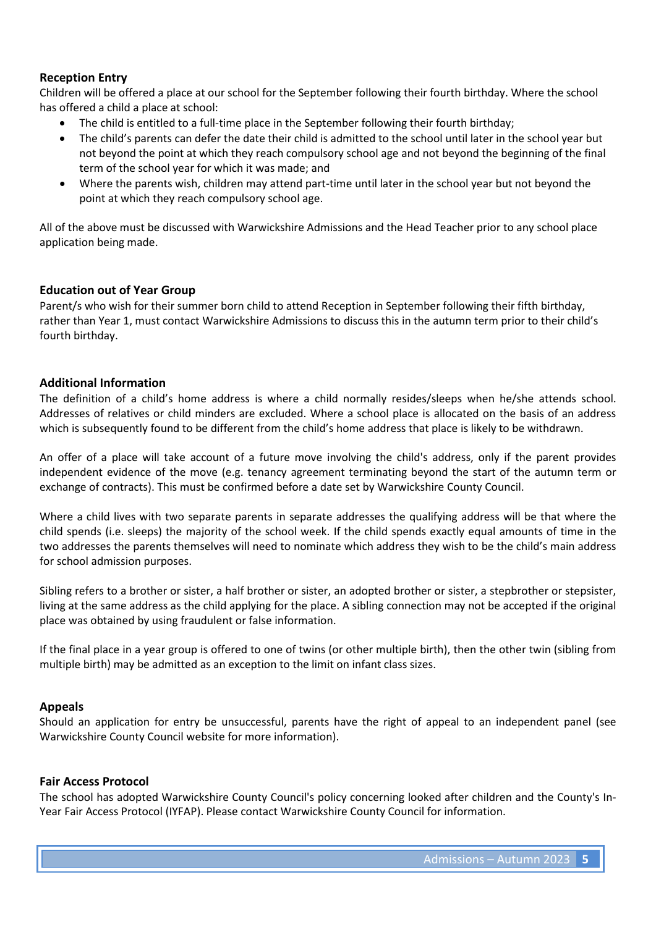### **Reception Entry**

Children will be offered a place at our school for the September following their fourth birthday. Where the school has offered a child a place at school:

- The child is entitled to a full-time place in the September following their fourth birthday;
- The child's parents can defer the date their child is admitted to the school until later in the school year but not beyond the point at which they reach compulsory school age and not beyond the beginning of the final term of the school year for which it was made; and
- Where the parents wish, children may attend part-time until later in the school year but not beyond the point at which they reach compulsory school age.

All of the above must be discussed with Warwickshire Admissions and the Head Teacher prior to any school place application being made.

### **Education out of Year Group**

Parent/s who wish for their summer born child to attend Reception in September following their fifth birthday, rather than Year 1, must contact Warwickshire Admissions to discuss this in the autumn term prior to their child's fourth birthday.

### **Additional Information**

The definition of a child's home address is where a child normally resides/sleeps when he/she attends school. Addresses of relatives or child minders are excluded. Where a school place is allocated on the basis of an address which is subsequently found to be different from the child's home address that place is likely to be withdrawn.

An offer of a place will take account of a future move involving the child's address, only if the parent provides independent evidence of the move (e.g. tenancy agreement terminating beyond the start of the autumn term or exchange of contracts). This must be confirmed before a date set by Warwickshire County Council.

Where a child lives with two separate parents in separate addresses the qualifying address will be that where the child spends (i.e. sleeps) the majority of the school week. If the child spends exactly equal amounts of time in the two addresses the parents themselves will need to nominate which address they wish to be the child's main address for school admission purposes.

Sibling refers to a brother or sister, a half brother or sister, an adopted brother or sister, a stepbrother or stepsister, living at the same address as the child applying for the place. A sibling connection may not be accepted if the original place was obtained by using fraudulent or false information.

If the final place in a year group is offered to one of twins (or other multiple birth), then the other twin (sibling from multiple birth) may be admitted as an exception to the limit on infant class sizes.

### **Appeals**

Should an application for entry be unsuccessful, parents have the right of appeal to an independent panel (see Warwickshire County Council website for more information).

### **Fair Access Protocol**

The school has adopted Warwickshire County Council's policy concerning looked after children and the County's In-Year Fair Access Protocol (IYFAP). Please contact Warwickshire County Council for information.